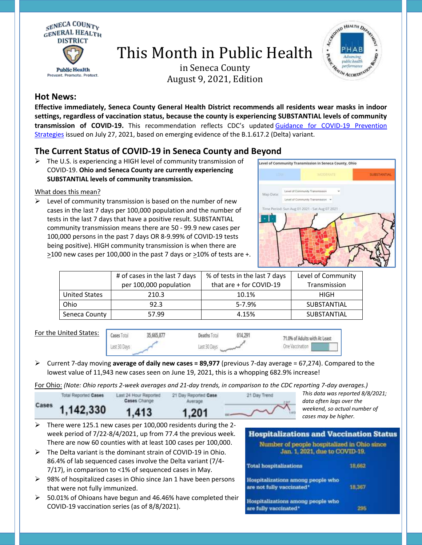

# This Month in Public Health

in Seneca County August 9, 2021, Edition



## **Hot News:**

**Effective immediately, Seneca County General Health District recommends all residents wear masks in indoor settings, regardless of vaccination status, because the county is experiencing SUBSTANTIAL levels of community transmission of COVID-19.** This recommendation reflects CDC's updated [Guidance for COVID-19 Prevention](https://www.cdc.gov/mmwr/volumes/70/wr/mm7030e2.htm?s_cid=mm7030e2_w)  [Strategies](https://www.cdc.gov/mmwr/volumes/70/wr/mm7030e2.htm?s_cid=mm7030e2_w) issued on July 27, 2021, based on emerging evidence of the B.1.617.2 (Delta) variant.

## **The Current Status of COVID-19 in Seneca County and Beyond**

 $\triangleright$  The U.S. is experiencing a HIGH level of community transmission of COVID-19. **Ohio and Seneca County are currently experiencing SUBSTANTIAL levels of community transmission.**

### What does this mean?

 $\triangleright$  Level of community transmission is based on the number of new cases in the last 7 days per 100,000 population and the number of tests in the last 7 days that have a positive result. SUBSTANTIAL community transmission means there are 50 - 99.9 new cases per 100,000 persons in the past 7 days OR 8-9.99% of COVID-19 tests being positive). HIGH community transmission is when there are >100 new cases per 100,000 in the past 7 days or >10% of tests are +.



|                      | # of cases in the last 7 days | % of tests in the last 7 days | Level of Community |
|----------------------|-------------------------------|-------------------------------|--------------------|
|                      | per 100,000 population        | that are + for COVID-19       | Transmission       |
| <b>United States</b> | 210.3                         | 10.1%                         | HIGH               |
| Ohio                 | 92.3                          | $5 - 7.9%$                    | SUBSTANTIAL        |
| Seneca County        | 57.99                         | 4.15%                         | <b>SUBSTANTIAL</b> |

For the United States:



**Deaths Total** 614 791 Last 30 Days

 Current 7-day moving **average of daily new cases = 89,977** (previous 7-day average = 67,274). Compared to the lowest value of 11,943 new cases seen on June 19, 2021, this is a whopping 682.9% increase!

For Ohio: *(Note: Ohio reports 2-week averages and 21-day trends, in comparison to the CDC reporting 7-day averages.)*

| Cases     |                   | 21 Day Trend | This data was reported 8/8/20<br>data often lags over the |
|-----------|-------------------|--------------|-----------------------------------------------------------|
| 1.142.330 | 1.20 <sup>4</sup> |              | weekend, so actual number of<br>cases may be higher.      |

- $\triangleright$  There were 125.1 new cases per 100,000 residents during the 2week period of 7/22-8/4/2021, up from 77.4 the previous week. There are now 60 counties with at least 100 cases per 100,000.
- $\triangleright$  The Delta variant is the dominant strain of COVID-19 in Ohio. 86.4% of lab sequenced cases involve the Delta variant (7/4- 7/17), in comparison to <1% of sequenced cases in May.
- $\geq$  98% of hospitalized cases in Ohio since Jan 1 have been persons that were not fully immunized.
- $\geq$  50.01% of Ohioans have begun and 46.46% have completed their COVID-19 vaccination series (as of 8/8/2021).

#### **Hospitalizations and Vaccination Status** Number of people hospitalized in Ohio since Jan. 1, 2021, due to COVID-19. 18,662 **Total hospitalizations**

*This data was reported 8/8/2021;* 

Hospitalizations among people who are not fully vaccinated\* 18,367 Hospitalizations among people who 295

are fully vaccinated\*

71.0% of Adults with At Least

One Vaccination